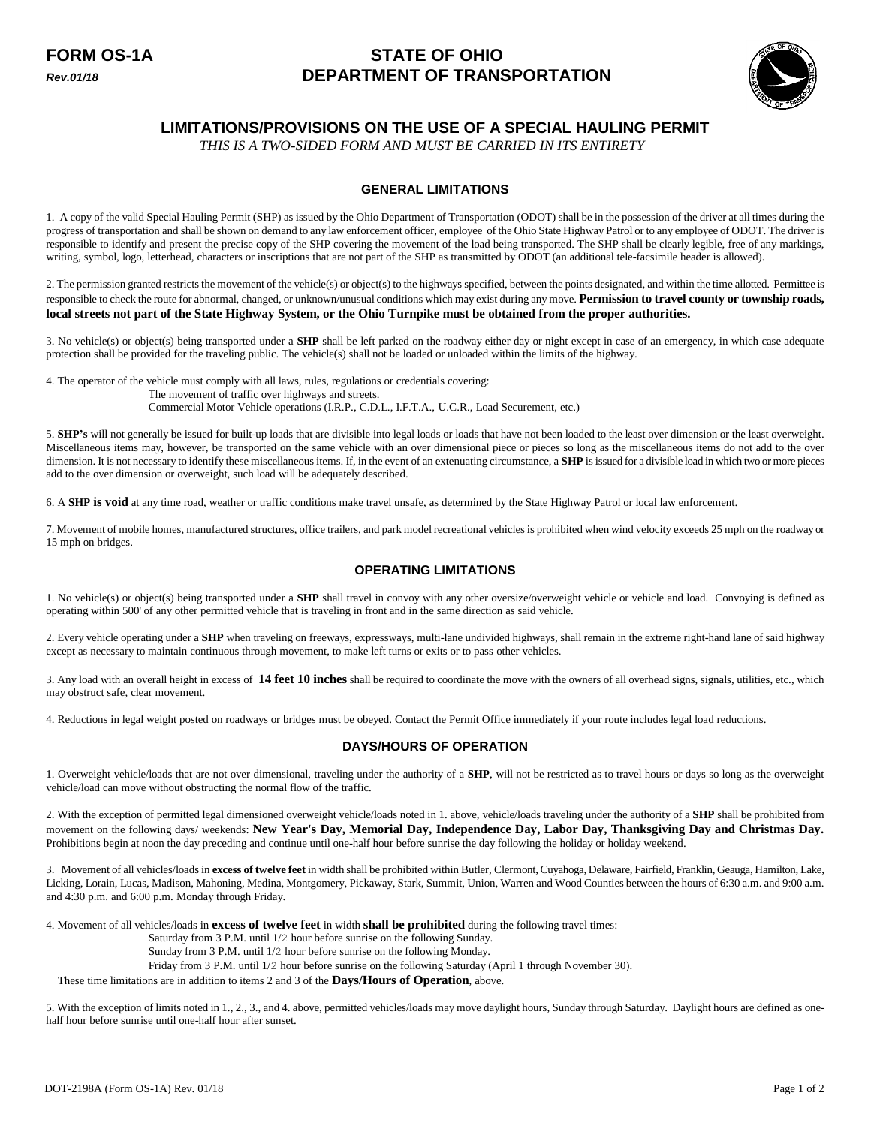# **FORM OS-1A STATE OF OHIO** *Rev.01/18* **DEPARTMENT OF TRANSPORTATION**



## **LIMITATIONS/PROVISIONS ON THE USE OF A SPECIAL HAULING PERMIT**

*THIS IS A TWO-SIDED FORM AND MUST BE CARRIED IN ITS ENTIRETY*

## **GENERAL LIMITATIONS**

1. A copy of the valid Special Hauling Permit (SHP) as issued by the Ohio Department of Transportation (ODOT) shall be in the possession of the driver at all times during the progress of transportation and shall be shown on demand to any law enforcement officer, employee of the Ohio State Highway Patrol or to any employee of ODOT. The driver is responsible to identify and present the precise copy of the SHP covering the movement of the load being transported. The SHP shall be clearly legible, free of any markings, writing, symbol, logo, letterhead, characters or inscriptions that are not part of the SHP as transmitted by ODOT (an additional tele-facsimile header is allowed).

2. The permission granted restricts the movement of the vehicle(s) or object(s) to the highways specified, between the points designated, and within the time allotted. Permittee is responsible to check the route for abnormal, changed, or unknown/unusual conditions which may exist during any move. **Permission to travel county or township roads**, **local streets not part of the State Highway System, or the Ohio Turnpike must be obtained from the proper authorities.** 

3. No vehicle(s) or object(s) being transported under a **SHP** shall be left parked on the roadway either day or night except in case of an emergency, in which case adequate protection shall be provided for the traveling public. The vehicle(s) shall not be loaded or unloaded within the limits of the highway.

4. The operator of the vehicle must comply with all laws, rules, regulations or credentials covering: The movement of traffic over highways and streets. Commercial Motor Vehicle operations (I.R.P., C.D.L., I.F.T.A., U.C.R., Load Securement, etc.)

5. **SHP's** will not generally be issued for built-up loads that are divisible into legal loads or loads that have not been loaded to the least over dimension or the least overweight. Miscellaneous items may, however, be transported on the same vehicle with an over dimensional piece or pieces so long as the miscellaneous items do not add to the over dimension. It is not necessary to identify these miscellaneous items. If, in the event of an extenuating circumstance, a **SHP** is issued for a divisible load in which two or more pieces add to the over dimension or overweight, such load will be adequately described.

6. A **SHP is void** at any time road, weather or traffic conditions make travel unsafe, as determined by the State Highway Patrol or local law enforcement.

7. Movement of mobile homes, manufactured structures, office trailers, and park model recreational vehicles is prohibited when wind velocity exceeds 25 mph on the roadway or 15 mph on bridges.

## **OPERATING LIMITATIONS**

1. No vehicle(s) or object(s) being transported under a **SHP** shall travel in convoy with any other oversize/overweight vehicle or vehicle and load. Convoying is defined as operating within 500' of any other permitted vehicle that is traveling in front and in the same direction as said vehicle.

2. Every vehicle operating under a **SHP** when traveling on freeways, expressways, multi-lane undivided highways, shall remain in the extreme right-hand lane of said highway except as necessary to maintain continuous through movement, to make left turns or exits or to pass other vehicles.

3. Any load with an overall height in excess of **14 feet 10 inches** shall be required to coordinate the move with the owners of all overhead signs, signals, utilities, etc., which may obstruct safe, clear movement.

4. Reductions in legal weight posted on roadways or bridges must be obeyed. Contact the Permit Office immediately if your route includes legal load reductions.

## **DAYS/HOURS OF OPERATION**

1. Overweight vehicle/loads that are not over dimensional, traveling under the authority of a **SHP**, will not be restricted as to travel hours or days so long as the overweight vehicle/load can move without obstructing the normal flow of the traffic.

2. With the exception of permitted legal dimensioned overweight vehicle/loads noted in 1. above, vehicle/loads traveling under the authority of a **SHP** shall be prohibited from movement on the following days/ weekends: **New Year's Day, Memorial Day, Independence Day, Labor Day, Thanksgiving Day and Christmas Day.** Prohibitions begin at noon the day preceding and continue until one-half hour before sunrise the day following the holiday or holiday weekend.

3. Movement of all vehicles/loads in **excess of twelve feet** in width shall be prohibited within Butler, Clermont, Cuyahoga, Delaware, Fairfield, Franklin, Geauga, Hamilton, Lake, Licking, Lorain, Lucas, Madison, Mahoning, Medina, Montgomery, Pickaway, Stark, Summit, Union, Warren and Wood Counties between the hours of 6:30 a.m. and 9:00 a.m. and 4:30 p.m. and 6:00 p.m. Monday through Friday.

4. Movement of all vehicles/loads in **excess of twelve feet** in width **shall be prohibited** during the following travel times:

Saturday from 3 P.M. until 1/2 hour before sunrise on the following Sunday.

Sunday from 3 P.M. until 1/2 hour before sunrise on the following Monday.

Friday from 3 P.M. until 1/2 hour before sunrise on the following Saturday (April 1 through November 30).

These time limitations are in addition to items 2 and 3 of the **Days/Hours of Operation**, above.

5. With the exception of limits noted in 1., 2., 3., and 4. above, permitted vehicles/loads may move daylight hours, Sunday through Saturday. Daylight hours are defined as onehalf hour before sunrise until one-half hour after sunset.